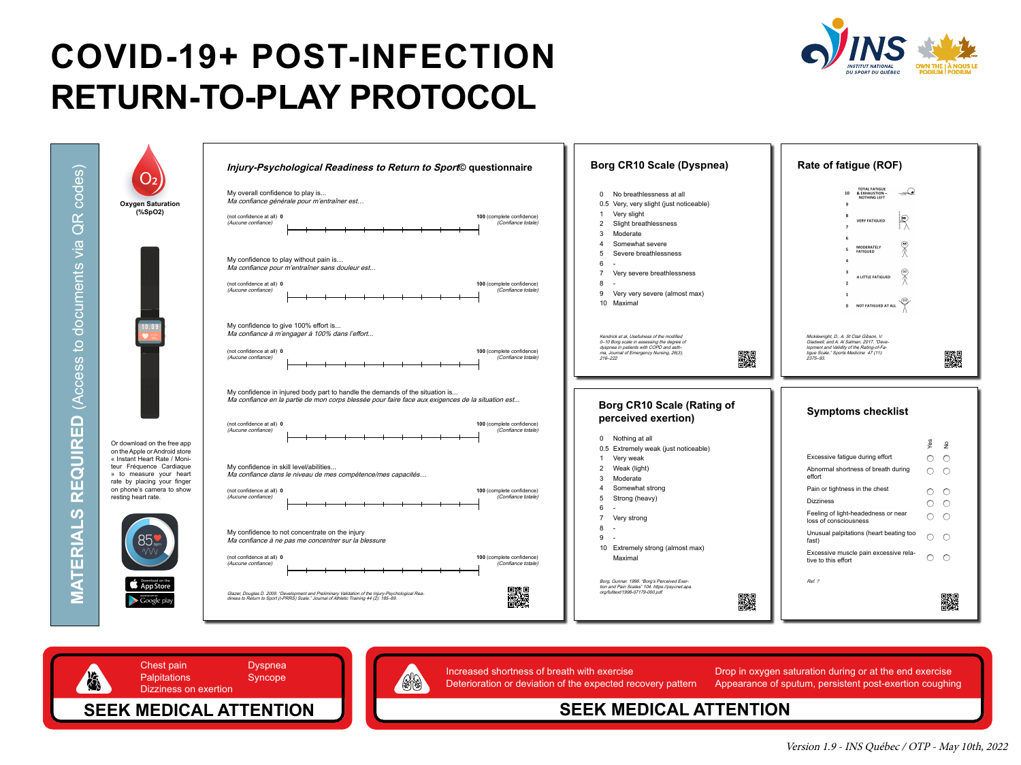



### **SEEK MEDICAL ATTENTION**



Increased shortness of breath with exercise **Exercise** Drop in oxygen saturation during or at the end exercise Deterioration or deviation of the expected recovery pattern Appearance of sputum, persistent post-exertion coughing

## **COVID-19+ POST-INFECTION RETURN-TO-PLAY PROTOCOL**

codes) (Access to documents via QR codes)  $\mathbf{C}^{\prime}$  $\bigcirc$  $\frac{1}{2}$ ocuments  $\overline{\bigcirc}$  $Q_{\downarrow}$  $\boldsymbol{\omega}$  $\boldsymbol{\omega}$ CCE  $\blacktriangleleft$  $\mathbf{D}$ **MATERIALS REQUIRED** RIIRO ш  $\overline{\mathbf{C}}$  $\boldsymbol{\omega}$ E TERI  $\blacktriangleleft$ E

Version 1.9 - INS Québec / OTP - May 10th, 2022

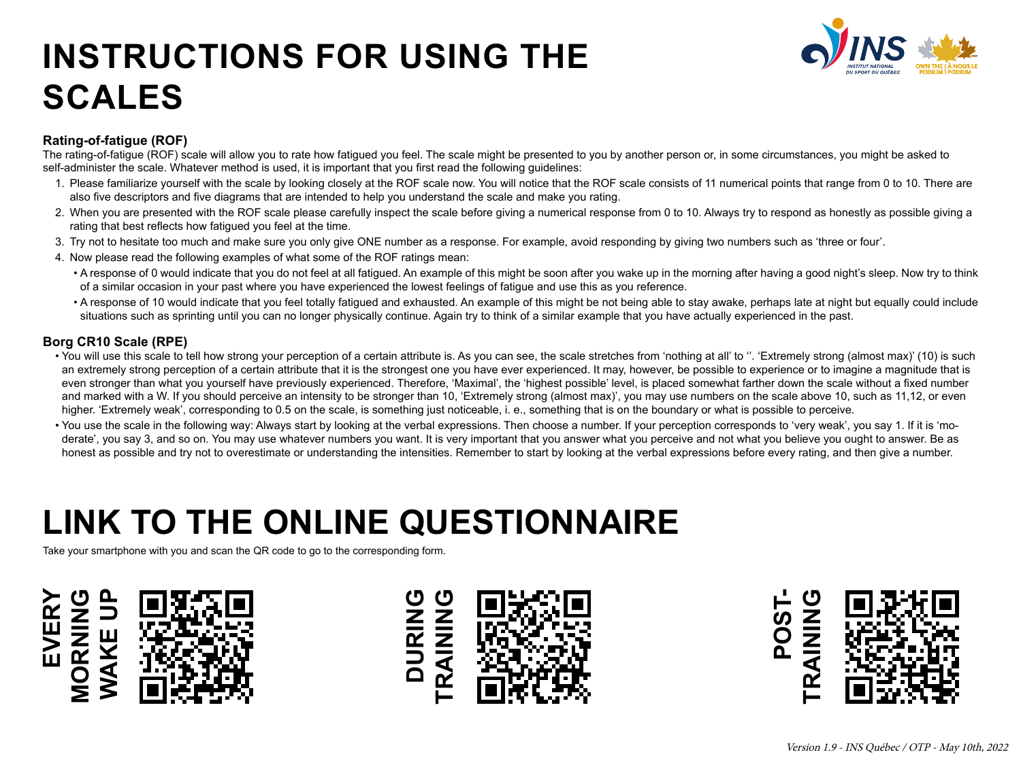## **INSTRUCTIONS FOR USING THE SCALES**

# **LINK TO THE ONLINE QUESTIONNAIRE**





Take your smartphone with you and scan the QR code to go to the corresponding form.





#### **Rating-of-fatigue (ROF)**

The rating-of-fatigue (ROF) scale will allow you to rate how fatigued you feel. The scale might be presented to you by another person or, in some circumstances, you might be asked to

self-administer the scale. Whatever method is used, it is important that you first read the following guidelines:

- 1. Please familiarize yourself with the scale by looking closely at the ROF scale now. You will notice that the ROF scale consists of 11 numerical points that range from 0 to 10. There are also five descriptors and five diagrams that are intended to help you understand the scale and make you rating.
- 2. When you are presented with the ROF scale please carefully inspect the scale before giving a numerical response from 0 to 10. Always try to respond as honestly as possible giving a rating that best reflects how fatigued you feel at the time.
- 3. Try not to hesitate too much and make sure you only give ONE number as a response. For example, avoid responding by giving two numbers such as 'three or four'. 4. Now please read the following examples of what some of the ROF ratings mean:
- - A response of 0 would indicate that you do not feel at all fatigued. An example of this might be soon after you wake up in the morning after having a good night's sleep. Now try to think of a similar occasion in your past where you have experienced the lowest feelings of fatigue and use this as you reference. • A response of 10 would indicate that you feel totally fatigued and exhausted. An example of this might be not being able to stay awake, perhaps late at night but equally could include situations such as sprinting until you can no longer physically continue. Again try to think of a similar example that you have actually experienced in the past.
	-

• You will use this scale to tell how strong your perception of a certain attribute is. As you can see, the scale stretches from 'nothing at all' to ". 'Extremely strong (almost max)' (10) is such an extremely strong perception of a certain attribute that it is the strongest one you have ever experienced. It may, however, be possible to experience or to imagine a magnitude that is even stronger than what you yourself have previously experienced. Therefore, 'Maximal', the 'highest possible' level, is placed somewhat farther down the scale without a fixed number and marked with a W. If you should perceive an intensity to be stronger than 10, 'Extremely strong (almost max)', you may use numbers on the scale above 10, such as 11,12, or even higher. 'Extremely weak', corresponding to 0.5 on the scale, is something just noticeable, i. e., something that is on the boundary or what is possible to perceive. • You use the scale in the following way: Always start by looking at the verbal expressions. Then choose a number. If your perception corresponds to 'very weak', you say 1. If it is 'moderate', you say 3, and so on. You may use whatever numbers you want. It is very important that you answer what you perceive and not what you believe you ought to answer. Be as honest as possible and try not to overestimate or understanding the intensities. Remember to start by looking at the verbal expressions before every rating, and then give a number.

#### **Borg CR10 Scale (RPE)**

- 
-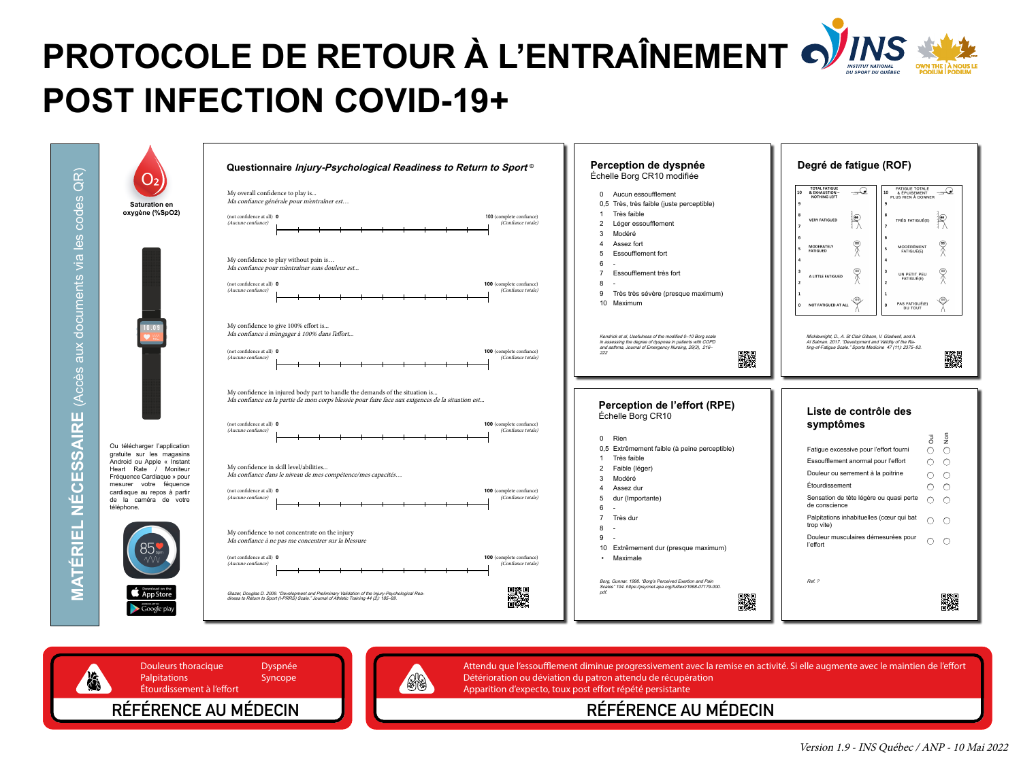

ANDROID APP ON

**RÉFÉRENCE AU MÉDECIN**

Attendu que l'essoufflement diminue progressivement avec la remise en activité. Si elle augmente avec le maintien de l'effort Détérioration ou déviation du patron attendu de récupération Apparition d'expecto, toux post effort répété persistante



| My overall confidence to play is<br>Ma confiance générale pour m'entraîner est                                                 |  |  |
|--------------------------------------------------------------------------------------------------------------------------------|--|--|
| (not confidence at all) $\mathbf 0$<br>(Aucune confiance)                                                                      |  |  |
| My confidence to play without pain is<br>Ma confiance pour m'entraîner sans douleur e.                                         |  |  |
| (not confidence at all) 0<br>(Aucune confiance)                                                                                |  |  |
| My confidence to give 100% effort is<br>Ma confiance à méngager à 100% dans l'effort.                                          |  |  |
| (not confidence at all) 0<br><i>(Aucune confiance)</i>                                                                         |  |  |
| My confidence in injured body part to handle<br><i>Ma confiance en la partie de mon corps blessé</i>                           |  |  |
| (not confidence at all) $\mathbf 0$<br>(Aucune confiance)                                                                      |  |  |
| My confidence in skill level/abilities<br>Ma confiance dans le niveau de mes compéten                                          |  |  |
| (not confidence at all) $\mathbf 0$<br><i>(Aucune confiance)</i>                                                               |  |  |
| My confidence to not concentrate on the injur<br>Ma confiance à ne pas me concentrer sur la ble                                |  |  |
| (not confidence at all) $\theta$<br><i>(Aucune confiance)</i>                                                                  |  |  |
| Glazer, Douglas D. 2009. "Development and Preliminary Valid.<br>diness to Return to Sport (I-PRRS) Scale." Journal of Athletic |  |  |

# **PROTOCOLE DE RETOUR À L'ENTRAÎNEMENT POST INFECTION COVID-19+**

 $\widehat{R}$ (Accès aux documents via les codes QR) odes  $\overline{O}$ les  $\overline{\mathsf{N}}$ cuments  $\overline{O}$  $\overline{\mathbf{C}}$ aux  $\boldsymbol{\omega}$  $\overline{\mathbf{C}}$ (Acce AIRE **MATÉRIEL NÉCESSAIRE**  $\boldsymbol{\omega}$ **S** ш  $\overline{C}$ )<br>N<br>L ATÉRIEL  $\overline{\bf{z}}$ 

Version 1.9 - INS Québec / ANP - 10 Mai 2022





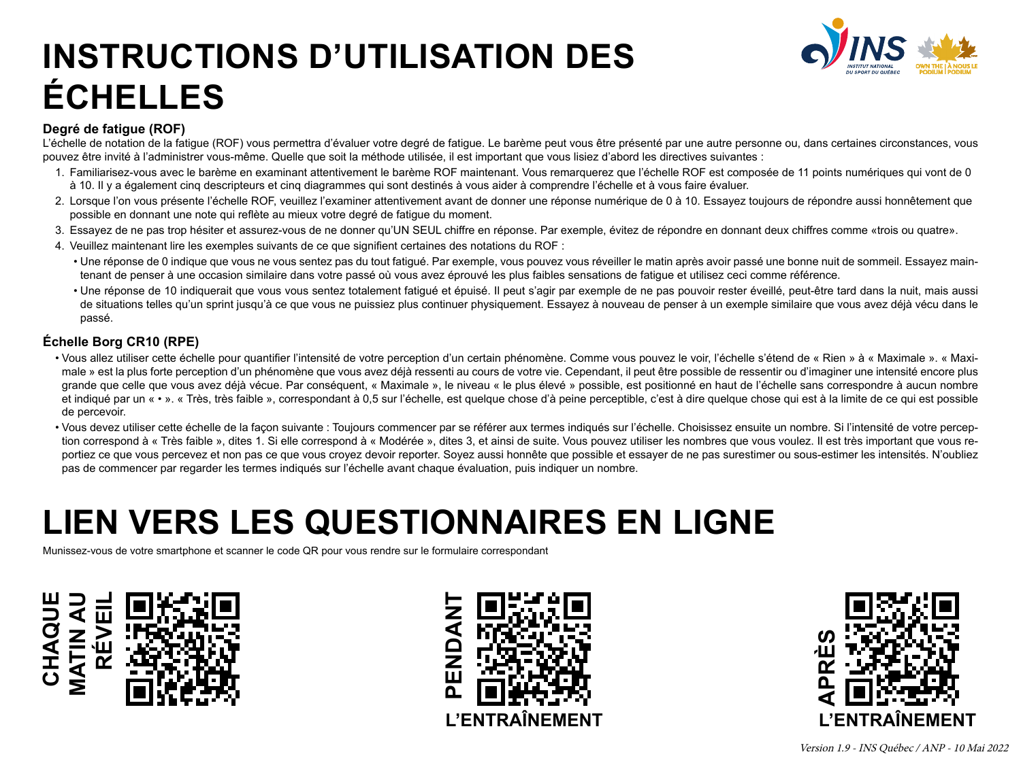### **INSTRUCTIONS D'UTILISATION DES ÉCHELLES**

## **LIEN VERS LES QUESTIONNAIRES EN LIGNE**

Version 1.9 - INS Québec / ANP - 10 Mai 2022

### **Degré de fatigue (ROF)**

L'échelle de notation de la fatigue (ROF) vous permettra d'évaluer votre degré de fatigue. Le barème peut vous être présenté par une autre personne ou, dans certaines circonstances, vous pouvez être invité à l'administrer vous-même. Quelle que soit la méthode utilisée, il est important que vous lisiez d'abord les directives suivantes : 1. Familiarisez-vous avec le barème en examinant attentivement le barème ROF maintenant. Vous remarquerez que l'échelle ROF est composée de 11 points numériques qui vont de 0 à 10. Il y a également cinq descripteurs et cinq diagrammes qui sont destinés à vous aider à comprendre l'échelle et à vous faire évaluer. 2. Lorsque l'on vous présente l'échelle ROF, veuillez l'examiner attentivement avant de donner une réponse numérique de 0 à 10. Essayez toujours de répondre aussi honnêtement que possible en donnant une note qui reflète au mieux votre degré de fatigue du moment.

3. Essayez de ne pas trop hésiter et assurez-vous de ne donner qu'UN SEUL chiffre en réponse. Par exemple, évitez de répondre en donnant deux chiffres comme «trois ou quatre».

- 
- 
- 
- 4. Veuillez maintenant lire les exemples suivants de ce que signifient certaines des notations du ROF :
	-
	- passé.

• Une réponse de 0 indique que vous ne vous sentez pas du tout fatigué. Par exemple, vous pouvez vous réveiller le matin après avoir passé une bonne nuit de sommeil. Essayez maintenant de penser à une occasion similaire dans votre passé où vous avez éprouvé les plus faibles sensations de fatigue et utilisez ceci comme référence. • Une réponse de 10 indiquerait que vous vous sentez totalement fatigué et épuisé. Il peut s'agir par exemple de ne pas pouvoir rester éveillé, peut-être tard dans la nuit, mais aussi de situations telles qu'un sprint jusqu'à ce que vous ne puissiez plus continuer physiquement. Essayez à nouveau de penser à un exemple similaire que vous avez déjà vécu dans le

### **Échelle Borg CR10 (RPE)**

• Vous allez utiliser cette échelle pour quantifier l'intensité de votre perception d'un certain phénomène. Comme vous pouvez le voir, l'échelle s'étend de « Rien » à « Maximale ». « Maximale » est la plus forte perception d'un phénomène que vous avez déjà ressenti au cours de votre vie. Cependant, il peut être possible de ressentir ou d'imaginer une intensité encore plus grande que celle que vous avez déjà vécue. Par conséquent, « Maximale », le niveau « le plus élevé » possible, est positionné en haut de l'échelle sans correspondre à aucun nombre et indiqué par un « • ». « Très, très faible », correspondant à 0,5 sur l'échelle, est quelque chose d'à peine perceptible, c'est à dire quelque chose qui est à la limite de ce qui est possible

- de percevoir.
- 

• Vous devez utiliser cette échelle de la façon suivante : Toujours commencer par se référer aux termes indiqués sur l'échelle. Choisissez ensuite un nombre. Si l'intensité de votre perception correspond à « Très faible », dites 1. Si elle correspond à « Modérée », dites 3, et ainsi de suite. Vous pouvez utiliser les nombres que vous voulez. Il est très important que vous reportiez ce que vous percevez et non pas ce que vous croyez devoir reporter. Soyez aussi honnête que possible et essayer de ne pas surestimer ou sous-estimer les intensités. N'oubliez pas de commencer par regarder les termes indiqués sur l'échelle avant chaque évaluation, puis indiquer un nombre.





Munissez-vous de votre smartphone et scanner le code QR pour vous rendre sur le formulaire correspondant



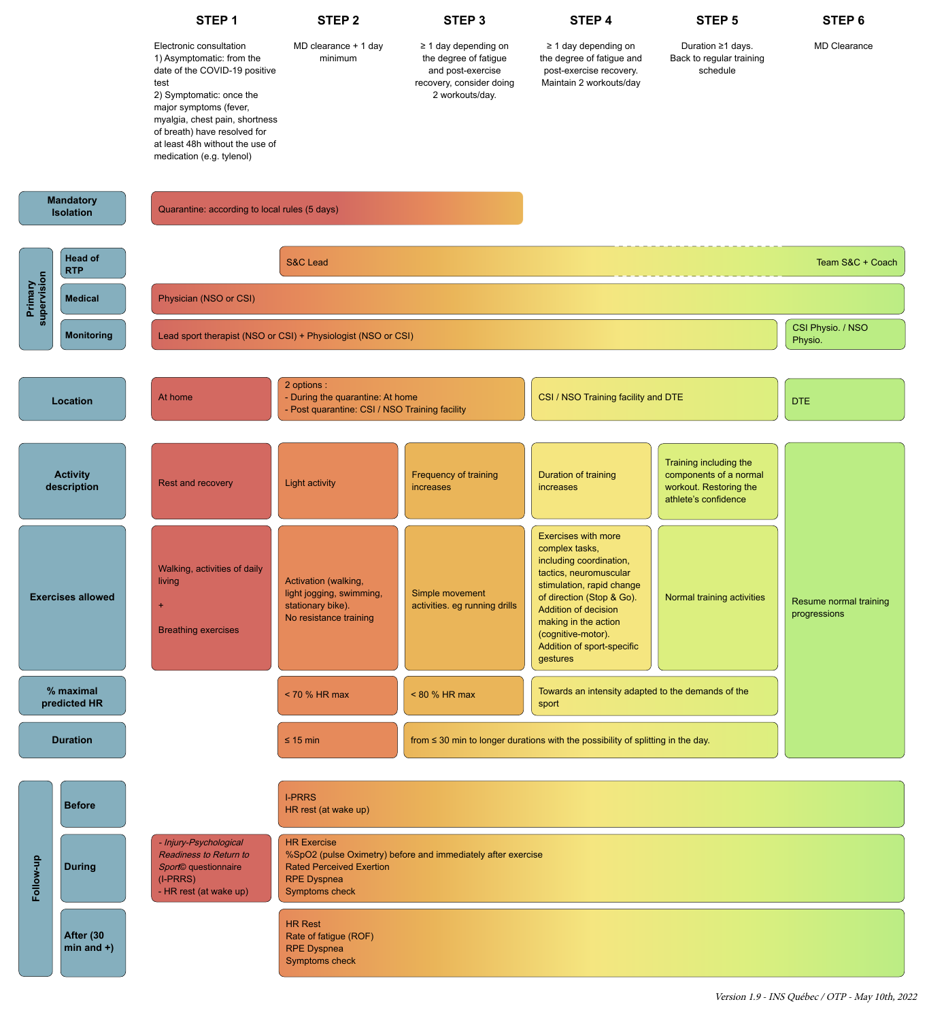### **STEP 1**

major symptoms (fever, myalgia, chest pain, shortness of breath) have resolved for at least 48h without the use of medication (e.g. tylenol)

Electronic consultation 1) Asymptomatic: from the date of the COVID-19 positive test 2) Symptomatic: once the MD clearance + 1 day

**Exercises allowed** +

living

#### **STEP 2**

minimum

Activation (walking,

light jogging, swimming,

**STEP 3** 

#### ≥ 1 day depending on the degree of fatigue and post-exercise recovery, consider doing 2 workouts/day.

Simple movement

**STEP 4**

≥ 1 day depending on the degree of fatigue and post-exercise recovery. Maintain 2 workouts/day

tactics, neuromuscular

|                           | <b>Breathing exercises</b>                                                                                                 | stationary bike).<br>No resistance training                                                                                                                          | activities. eg running drills | <b>Addition of decision</b><br>making in the action<br>(cognitive-motor).<br><b>Addition of sport-specific</b><br>gestures | $\frac{1}{2}$ | Resume normal training<br>progressions |  |
|---------------------------|----------------------------------------------------------------------------------------------------------------------------|----------------------------------------------------------------------------------------------------------------------------------------------------------------------|-------------------------------|----------------------------------------------------------------------------------------------------------------------------|---------------|----------------------------------------|--|
| % maximal<br>predicted HR |                                                                                                                            | $<$ 70 % HR max                                                                                                                                                      | $< 80 \%$ HR max              | Towards an intensity adapted to the demands of the<br>sport                                                                |               |                                        |  |
| <b>Duration</b>           |                                                                                                                            | $\leq 15$ min                                                                                                                                                        |                               | from $\leq$ 30 min to longer durations with the possibility of splitting in the day.                                       |               |                                        |  |
| <b>Before</b>             |                                                                                                                            | <b>I-PRRS</b><br>HR rest (at wake up)                                                                                                                                |                               |                                                                                                                            |               |                                        |  |
| $\Omega$<br><b>During</b> | - Injury-Psychological<br>Readiness to Return to<br>Sport <sup>®</sup> questionnaire<br>(I-PRRS)<br>- HR rest (at wake up) | <b>HR Exercise</b><br>%SpO2 (pulse Oximetry) before and immediately after exercise<br><b>Rated Perceived Exertion</b><br><b>RPE Dyspnea</b><br><b>Symptoms check</b> |                               |                                                                                                                            |               |                                        |  |

stimulation, rapid change of direction (Stop & Go). Normal training activities

### **STEP 5**

Duration ≥1 days. Back to regular training schedule

| a<br>Der<br><b>IVICUILAI</b><br>으<br><b>TA</b> |  | ן וטט טטעטון וואסוטור ד                                       |                                                                                                                                          |                                           |                                                                                                  |                                                                                                    |            |  |
|------------------------------------------------|--|---------------------------------------------------------------|------------------------------------------------------------------------------------------------------------------------------------------|-------------------------------------------|--------------------------------------------------------------------------------------------------|----------------------------------------------------------------------------------------------------|------------|--|
| $\overline{\mathbf{w}}$<br><b>Monitoring</b>   |  | Lead sport therapist (NSO or CSI) + Physiologist (NSO or CSI) | CSI Physio. / NSO<br>Physio.                                                                                                             |                                           |                                                                                                  |                                                                                                    |            |  |
| <b>Location</b>                                |  | At home                                                       | 2 options :<br>- During the quarantine: At home<br>CSI / NSO Training facility and DTE<br>- Post quarantine: CSI / NSO Training facility |                                           |                                                                                                  |                                                                                                    | <b>DTE</b> |  |
| <b>Activity</b><br>description                 |  | <b>Rest and recovery</b>                                      | <b>Light activity</b>                                                                                                                    | <b>Frequency of training</b><br>increases | <b>Duration of training</b><br>increases                                                         | Training including the<br>components of a normal<br>workout. Restoring the<br>athlete's confidence |            |  |
|                                                |  | Walking, activities of daily                                  |                                                                                                                                          |                                           | <b>Exercises with more</b><br>complex tasks,<br>including coordination,<br>tactics neuromuscular |                                                                                                    |            |  |

**STEP 6** 

MD Clearance

Resume normal training







**Mandatory** 

**Isolation** Quarantine: according to local rules (5 days)

#### Version 1.9 - INS Québec / OTP - May 10th, 2022